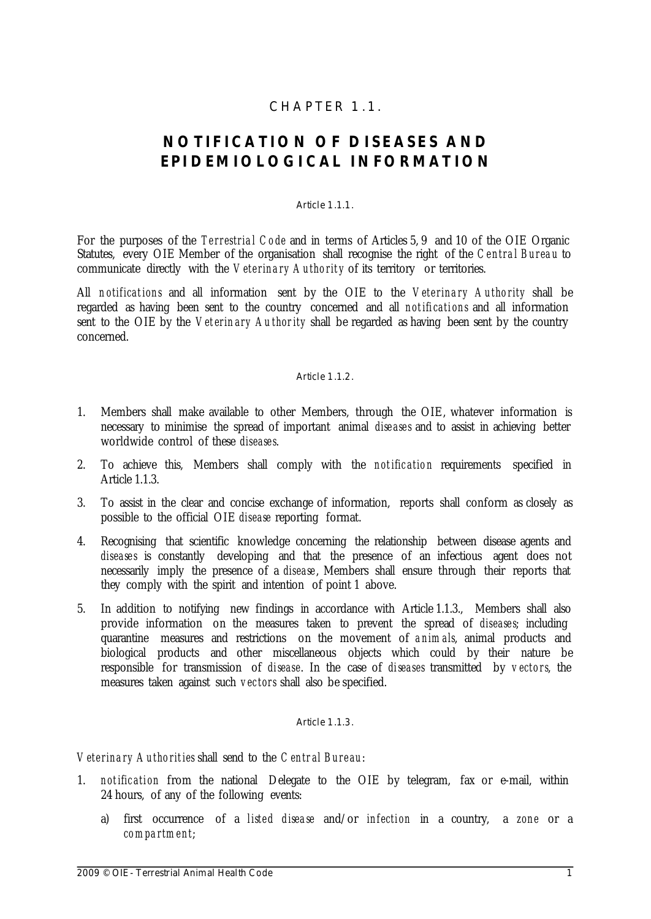# $CHAPTER$  1.1.

# **N O T I F IC A T I O N O F D I S E A S E S A N D** EPIDEMIOLOGICAL INFORMATION

#### Article 1.1.1.

For the purposes of the *Terrestrial Code* and in terms of Articles 5, 9 and 10 of the OIE Organic Statutes, every OIE Member of the organisation shall recognise the right of the *Central Bureau* to communicate directly with the *Veterinary Authority* of its territory or territories.

All *n otific at io ns* and all information sent by the OIE to the *Vete rina ry Autho rity* shall be regarded as having been sent to the country concerned and all *not ific atio ns* and all information sent to the OIE by the *Veterinary Authority* shall be regarded as having been sent by the country concerned.

#### Article 1.1.2.

- 1. Members shall make available to other Members, through the OIE, whatever information is necessary to minimise the spread of important animal *dise ase s* and to assist in achieving better worldwide control of these *dise ase s*.
- 2. To achieve this, Members shall comply with the *not ific atio n* requirements specified in Article 1.1.3.
- 3. To assist in the clear and concise exchange of information, reports shall conform as closely as possible to the official OIE *disease* reporting format.
- 4. Recognising that scientific knowledge concerning the relationship between disease agents and *dise ase s* is constantly developing and that the presence of an infectious agent does not necessarily imply the presence of a *disease*. Members shall ensure through their reports that they comply with the spirit and intention of point 1 above.
- 5. In addition to notifying new findings in accordance with Article 1.1.3., Members shall also provide information on the measures taken to prevent the spread of *diseases*, including quarantine measures and restrictions on the movement of *a nim als*, animal products and biological products and other miscellaneous objects which could by their nature be responsible for transmission of *dise ase*. In the case of *dise ases* transmitted by *v ecto rs*, the measures taken against such *v ec tors* shall also be specified.

#### Article 1.1.3.

*Vete rina ry Autho rit ies* shall send to the *C e ntr al Bure au*:

- 1. *not ific atio n* from the national Delegate to the OIE by telegram, fax or e-mail, within 24 hours, of any of the following events:
	- a) first occurrence of a *listed disease* and/or *infection* in a country, a *zone* or a *co m pa rtm e nt*;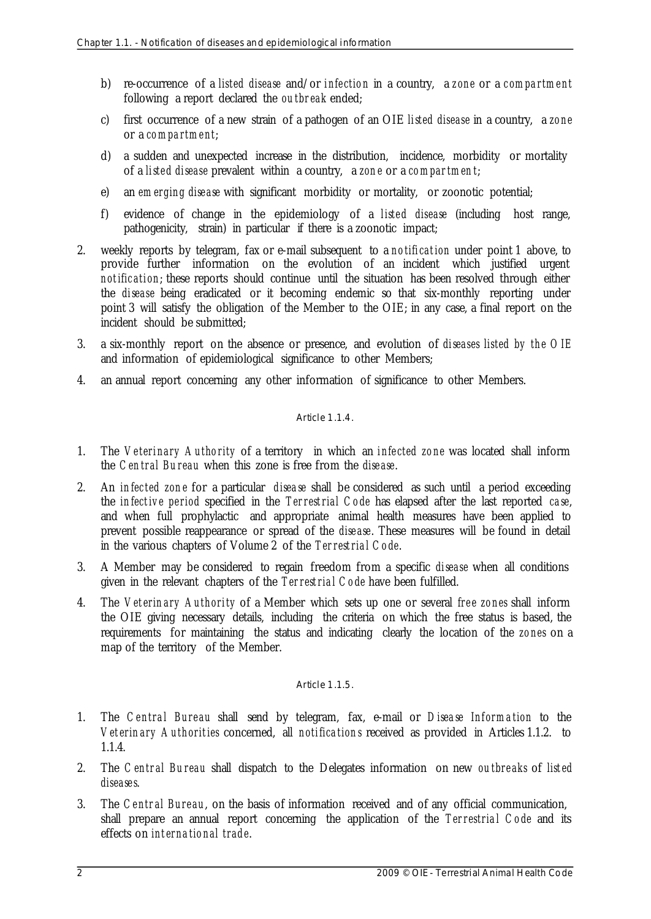- b) re-occurrence of a *liste d dise ase* and/or *infe ctio n* in a country, a *zo ne* or a *c om pa rtm e nt* following a report declared the *o u tbr e ak* ended;
- c) first occurrence of a new strain of a pathogen of an OIE *liste d dise ase* in a country, a *zo ne* or a *co m pa rtm e nt*;
- d) a sudden and unexpected increase in the distribution, incidence, morbidity or mortality of a *liste d dise ase* prevalent within a country, a *zo n e* or a *co m par tm e n t*;
- e) an *em erging dise ase* with significant morbidity or mortality, or zoonotic potential;
- f) evidence of change in the epidemiology of a *liste d dise ase* (including host range, pathogenicity, strain) in particular if there is a zoonotic impact;
- 2. weekly reports by telegram, fax or e-mail subsequent to a *no tific at io n* under point 1 above, to provide further information on the evolution of an incident which justified urgent *notification*; these reports should continue until the situation has been resolved through either the *dise ase* being eradicated or it becoming endemic so that six-monthly reporting under point 3 will satisfy the obligation of the Member to the OIE; in any case, a final report on the incident should be submitted;
- 3. a six-monthly report on the absence or presence, and evolution of *dise ases liste d by th e O IE* and information of epidemiological significance to other Members;
- 4. an annual report concerning any other information of significance to other Members.

### Article 1.1.4

- 1. The *Ve terinary Autho rity* of a territory in which an *infe cte d zo ne* was located shall inform the *Ce n tral Bu re au* when this zone is free from the *dise ase*.
- 2. An *in fec te d zo n e* for a particular *d ise a se* shall be considered as such until a period exceeding the *in fect iv e pe rio d* specified in the *Ter restrial Co de* has elapsed after the last reported *c a se*, and when full prophylactic and appropriate animal health measures have been applied to prevent possible reappearance or spread of the *dise ase*. These measures will be found in detail in the various chapters of Volume 2 of the *Ter restria l Co de*.
- 3. A Member may be considered to regain freedom from a specific *dise ase* when all conditions given in the relevant chapters of the *Terrestrial Code* have been fulfilled.
- 4. The *Vet erin ary Auth ority* of a Member which sets up one or several *fre e zo nes* shall inform the OIE giving necessary details, including the criteria on which the free status is based, the requirements for maintaining the status and indicating clearly the location of the *zo nes* on a map of the territory of the Member.

#### Article 1.1.5.

- 1. The *Central Bureau* shall send by telegram, fax, e-mail or *Disease Information* to the *Vet erin ary Auth orit ies* concerned, all *notific a tio n s* received as provided in Articles 1.1.2. to 1.1.4.
- 2. The *C e ntr al Bu re au* shall dispatch to the Delegates information on new *o u tbre aks* of *list e d dise ase s*.
- 3. The *Ce ntr al Bure au*, on the basis of information received and of any official communication, shall prepare an annual report concerning the application of the *Ter restrial Code* and its effects on *int erna tio nal trad e*.